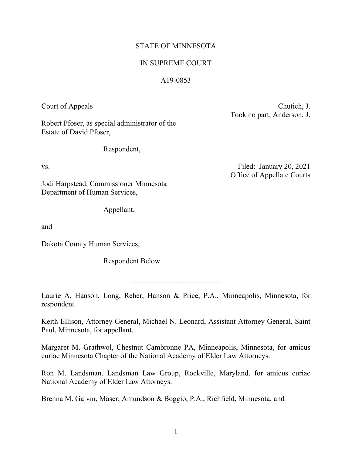## STATE OF MINNESOTA

## IN SUPREME COURT

### A19-0853

Court of Appeals Chutich, J. Took no part, Anderson, J.

Robert Pfoser, as special administrator of the Estate of David Pfoser,

Respondent,

Jodi Harpstead, Commissioner Minnesota Department of Human Services,

Appellant,

and

Dakota County Human Services,

Respondent Below.

Laurie A. Hanson, Long, Reher, Hanson & Price, P.A., Minneapolis, Minnesota, for respondent.

 $\mathcal{L}_\text{max}$  , where  $\mathcal{L}_\text{max}$ 

Keith Ellison, Attorney General, Michael N. Leonard, Assistant Attorney General, Saint Paul, Minnesota, for appellant.

Margaret M. Grathwol, Chestnut Cambronne PA, Minneapolis, Minnesota, for amicus curiae Minnesota Chapter of the National Academy of Elder Law Attorneys.

Ron M. Landsman, Landsman Law Group, Rockville, Maryland, for amicus curiae National Academy of Elder Law Attorneys.

Brenna M. Galvin, Maser, Amundson & Boggio, P.A., Richfield, Minnesota; and

vs. The example of the state of the state of the Filed: January 20, 2021 Office of Appellate Courts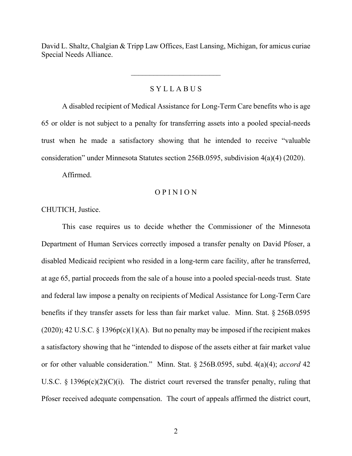David L. Shaltz, Chalgian & Tripp Law Offices, East Lansing, Michigan, for amicus curiae Special Needs Alliance.

## S Y L L A B U S

A disabled recipient of Medical Assistance for Long-Term Care benefits who is age 65 or older is not subject to a penalty for transferring assets into a pooled special-needs trust when he made a satisfactory showing that he intended to receive "valuable consideration" under Minnesota Statutes section 256B.0595, subdivision 4(a)(4) (2020).

Affirmed.

#### O P I N I O N

### CHUTICH, Justice.

This case requires us to decide whether the Commissioner of the Minnesota Department of Human Services correctly imposed a transfer penalty on David Pfoser, a disabled Medicaid recipient who resided in a long-term care facility, after he transferred, at age 65, partial proceeds from the sale of a house into a pooled special-needs trust. State and federal law impose a penalty on recipients of Medical Assistance for Long-Term Care benefits if they transfer assets for less than fair market value. Minn. Stat. § 256B.0595  $(2020); 42 U.S.C. § 1396p(c)(1)(A)$ . But no penalty may be imposed if the recipient makes a satisfactory showing that he "intended to dispose of the assets either at fair market value or for other valuable consideration." Minn. Stat. § 256B.0595, subd. 4(a)(4); *accord* 42 U.S.C.  $\S$  1396p(c)(2)(C)(i). The district court reversed the transfer penalty, ruling that Pfoser received adequate compensation. The court of appeals affirmed the district court,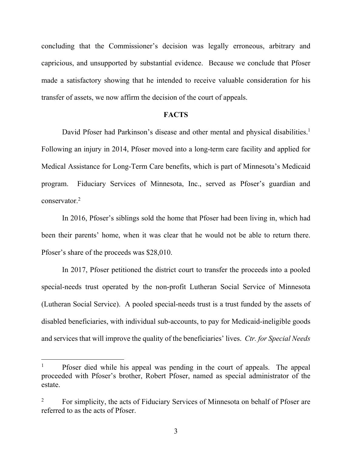concluding that the Commissioner's decision was legally erroneous, arbitrary and capricious, and unsupported by substantial evidence. Because we conclude that Pfoser made a satisfactory showing that he intended to receive valuable consideration for his transfer of assets, we now affirm the decision of the court of appeals.

#### **FACTS**

David Pfoser had Parkinson's disease and other mental and physical disabilities.<sup>1</sup> Following an injury in 2014, Pfoser moved into a long-term care facility and applied for Medical Assistance for Long-Term Care benefits, which is part of Minnesota's Medicaid program. Fiduciary Services of Minnesota, Inc., served as Pfoser's guardian and conservator<sup>2</sup>

In 2016, Pfoser's siblings sold the home that Pfoser had been living in, which had been their parents' home, when it was clear that he would not be able to return there. Pfoser's share of the proceeds was \$28,010.

In 2017, Pfoser petitioned the district court to transfer the proceeds into a pooled special-needs trust operated by the non-profit Lutheran Social Service of Minnesota (Lutheran Social Service). A pooled special-needs trust is a trust funded by the assets of disabled beneficiaries, with individual sub-accounts, to pay for Medicaid-ineligible goods and services that will improve the quality of the beneficiaries' lives. *Ctr. for Special Needs* 

<sup>1</sup> Pfoser died while his appeal was pending in the court of appeals. The appeal proceeded with Pfoser's brother, Robert Pfoser, named as special administrator of the estate.

<sup>2</sup> For simplicity, the acts of Fiduciary Services of Minnesota on behalf of Pfoser are referred to as the acts of Pfoser.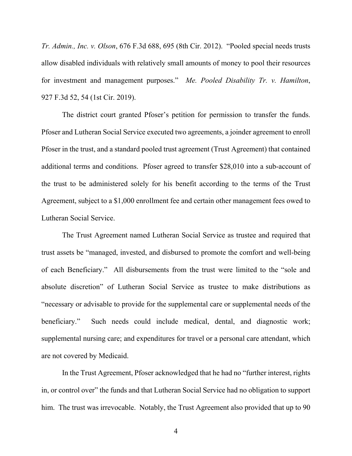*Tr. Admin., Inc. v. Olson*, 676 F.3d 688, 695 (8th Cir. 2012). "Pooled special needs trusts allow disabled individuals with relatively small amounts of money to pool their resources for investment and management purposes." *Me. Pooled Disability Tr. v. Hamilton*, 927 F.3d 52, 54 (1st Cir. 2019).

The district court granted Pfoser's petition for permission to transfer the funds. Pfoser and Lutheran Social Service executed two agreements, a joinder agreement to enroll Pfoser in the trust, and a standard pooled trust agreement (Trust Agreement) that contained additional terms and conditions. Pfoser agreed to transfer \$28,010 into a sub-account of the trust to be administered solely for his benefit according to the terms of the Trust Agreement, subject to a \$1,000 enrollment fee and certain other management fees owed to Lutheran Social Service.

The Trust Agreement named Lutheran Social Service as trustee and required that trust assets be "managed, invested, and disbursed to promote the comfort and well-being of each Beneficiary." All disbursements from the trust were limited to the "sole and absolute discretion" of Lutheran Social Service as trustee to make distributions as "necessary or advisable to provide for the supplemental care or supplemental needs of the beneficiary." Such needs could include medical, dental, and diagnostic work; supplemental nursing care; and expenditures for travel or a personal care attendant, which are not covered by Medicaid.

In the Trust Agreement, Pfoser acknowledged that he had no "further interest, rights in, or control over" the funds and that Lutheran Social Service had no obligation to support him. The trust was irrevocable. Notably, the Trust Agreement also provided that up to 90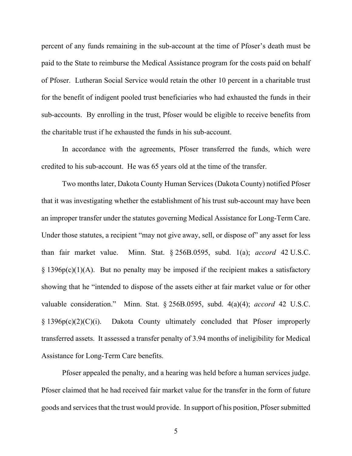percent of any funds remaining in the sub-account at the time of Pfoser's death must be paid to the State to reimburse the Medical Assistance program for the costs paid on behalf of Pfoser. Lutheran Social Service would retain the other 10 percent in a charitable trust for the benefit of indigent pooled trust beneficiaries who had exhausted the funds in their sub-accounts. By enrolling in the trust, Pfoser would be eligible to receive benefits from the charitable trust if he exhausted the funds in his sub-account.

In accordance with the agreements, Pfoser transferred the funds, which were credited to his sub-account. He was 65 years old at the time of the transfer.

Two months later, Dakota County Human Services (Dakota County) notified Pfoser that it was investigating whether the establishment of his trust sub-account may have been an improper transfer under the statutes governing Medical Assistance for Long-Term Care. Under those statutes, a recipient "may not give away, sell, or dispose of" any asset for less than fair market value. Minn. Stat. § 256B.0595, subd. 1(a); *accord* 42 U.S.C.  $\S$  1396p(c)(1)(A). But no penalty may be imposed if the recipient makes a satisfactory showing that he "intended to dispose of the assets either at fair market value or for other valuable consideration." Minn. Stat. § 256B.0595, subd. 4(a)(4); *accord* 42 U.S.C. § 1396p(c)(2)(C)(i). Dakota County ultimately concluded that Pfoser improperly transferred assets. It assessed a transfer penalty of 3.94 months of ineligibility for Medical Assistance for Long-Term Care benefits.

Pfoser appealed the penalty, and a hearing was held before a human services judge. Pfoser claimed that he had received fair market value for the transfer in the form of future goods and services that the trust would provide. In support of his position, Pfoser submitted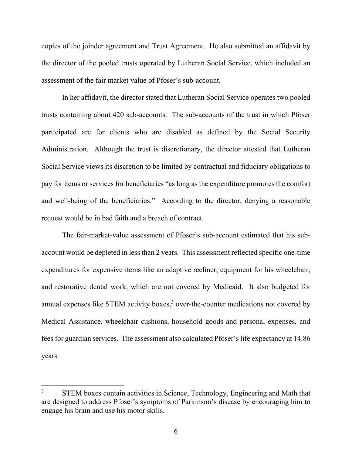copies of the joinder agreement and Trust Agreement. He also submitted an affidavit by the director of the pooled trusts operated by Lutheran Social Service, which included an assessment of the fair market value of Pfoser's sub-account.

In her affidavit, the director stated that Lutheran Social Service operates two pooled trusts containing about 420 sub-accounts. The sub-accounts of the trust in which Pfoser participated are for clients who are disabled as defined by the Social Security Administration. Although the trust is discretionary, the director attested that Lutheran Social Service views its discretion to be limited by contractual and fiduciary obligations to pay for items or services for beneficiaries "as long as the expenditure promotes the comfort and well-being of the beneficiaries." According to the director, denying a reasonable request would be in bad faith and a breach of contract.

The fair-market-value assessment of Pfoser's sub-account estimated that his subaccount would be depleted in less than 2 years. This assessment reflected specific one-time expenditures for expensive items like an adaptive recliner, equipment for his wheelchair, and restorative dental work, which are not covered by Medicaid. It also budgeted for annual expenses like STEM activity boxes, $3$  over-the-counter medications not covered by Medical Assistance, wheelchair cushions, household goods and personal expenses, and fees for guardian services. The assessment also calculated Pfoser's life expectancy at 14.86 years.

<sup>3</sup> STEM boxes contain activities in Science, Technology, Engineering and Math that are designed to address Pfoser's symptoms of Parkinson's disease by encouraging him to engage his brain and use his motor skills.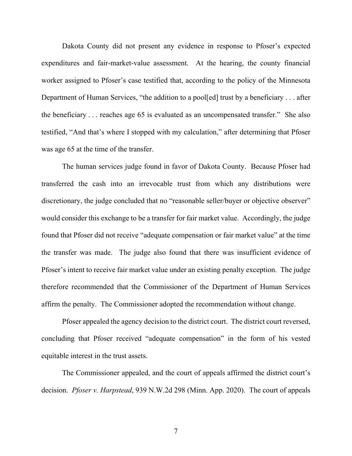Dakota County did not present any evidence in response to Pfoser's expected expenditures and fair-market-value assessment. At the hearing, the county financial worker assigned to Pfoser's case testified that, according to the policy of the Minnesota Department of Human Services, "the addition to a pool[ed] trust by a beneficiary . . . after the beneficiary . . . reaches age 65 is evaluated as an uncompensated transfer." She also testified, "And that's where I stopped with my calculation," after determining that Pfoser was age 65 at the time of the transfer.

The human services judge found in favor of Dakota County. Because Pfoser had transferred the cash into an irrevocable trust from which any distributions were discretionary, the judge concluded that no "reasonable seller/buyer or objective observer" would consider this exchange to be a transfer for fair market value. Accordingly, the judge found that Pfoser did not receive "adequate compensation or fair market value" at the time the transfer was made. The judge also found that there was insufficient evidence of Pfoser's intent to receive fair market value under an existing penalty exception. The judge therefore recommended that the Commissioner of the Department of Human Services affirm the penalty. The Commissioner adopted the recommendation without change.

Pfoser appealed the agency decision to the district court. The district court reversed, concluding that Pfoser received "adequate compensation" in the form of his vested equitable interest in the trust assets.

The Commissioner appealed, and the court of appeals affirmed the district court's decision. *Pfoser v. Harpstead*, 939 N.W.2d 298 (Minn. App. 2020). The court of appeals

7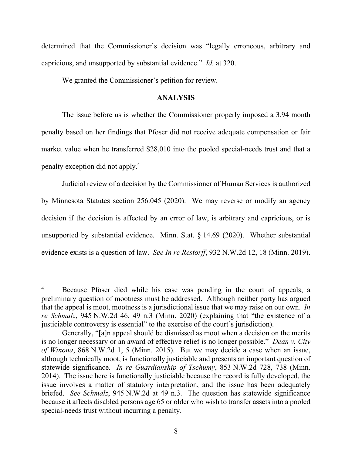determined that the Commissioner's decision was "legally erroneous, arbitrary and capricious, and unsupported by substantial evidence." *Id.* at 320.

We granted the Commissioner's petition for review.

### **ANALYSIS**

The issue before us is whether the Commissioner properly imposed a 3.94 month penalty based on her findings that Pfoser did not receive adequate compensation or fair market value when he transferred \$28,010 into the pooled special-needs trust and that a penalty exception did not apply.<sup>4</sup>

 Judicial review of a decision by the Commissioner of Human Services is authorized by Minnesota Statutes section 256.045 (2020). We may reverse or modify an agency decision if the decision is affected by an error of law, is arbitrary and capricious, or is unsupported by substantial evidence. Minn. Stat. § 14.69 (2020). Whether substantial evidence exists is a question of law. *See In re Restorff*, 932 N.W.2d 12, 18 (Minn. 2019).

<sup>4</sup> Because Pfoser died while his case was pending in the court of appeals, a preliminary question of mootness must be addressed. Although neither party has argued that the appeal is moot, mootness is a jurisdictional issue that we may raise on our own. *In re Schmalz*, 945 N.W.2d 46, 49 n.3 (Minn. 2020) (explaining that "the existence of a justiciable controversy is essential" to the exercise of the court's jurisdiction).

Generally, "[a]n appeal should be dismissed as moot when a decision on the merits is no longer necessary or an award of effective relief is no longer possible." *Dean v. City of Winona*, 868 N.W.2d 1, 5 (Minn. 2015). But we may decide a case when an issue, although technically moot, is functionally justiciable and presents an important question of statewide significance. *In re Guardianship of Tschumy*, 853 N.W.2d 728, 738 (Minn. 2014). The issue here is functionally justiciable because the record is fully developed, the issue involves a matter of statutory interpretation, and the issue has been adequately briefed. *See Schmalz*, 945 N.W.2d at 49 n.3. The question has statewide significance because it affects disabled persons age 65 or older who wish to transfer assets into a pooled special-needs trust without incurring a penalty.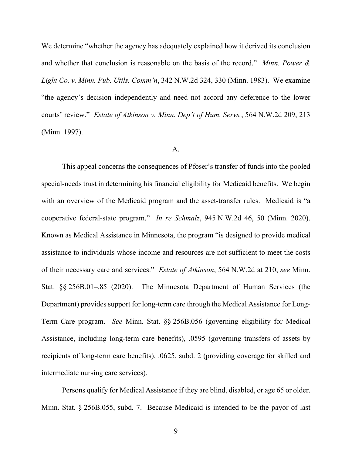We determine "whether the agency has adequately explained how it derived its conclusion and whether that conclusion is reasonable on the basis of the record." *Minn. Power & Light Co. v. Minn. Pub. Utils. Comm'n*, 342 N.W.2d 324, 330 (Minn. 1983). We examine "the agency's decision independently and need not accord any deference to the lower courts' review." *Estate of Atkinson v. Minn. Dep't of Hum. Servs.*, 564 N.W.2d 209, 213 (Minn. 1997).

#### A.

This appeal concerns the consequences of Pfoser's transfer of funds into the pooled special-needs trust in determining his financial eligibility for Medicaid benefits. We begin with an overview of the Medicaid program and the asset-transfer rules. Medicaid is "a cooperative federal-state program." *In re Schmalz*, 945 N.W.2d 46, 50 (Minn. 2020). Known as Medical Assistance in Minnesota, the program "is designed to provide medical assistance to individuals whose income and resources are not sufficient to meet the costs of their necessary care and services." *Estate of Atkinson*, 564 N.W.2d at 210; *see* Minn. Stat. §§ 256B.01–.85 (2020). The Minnesota Department of Human Services (the Department) provides support for long-term care through the Medical Assistance for Long-Term Care program. *See* Minn. Stat. §§ 256B.056 (governing eligibility for Medical Assistance, including long-term care benefits), .0595 (governing transfers of assets by recipients of long-term care benefits), .0625, subd. 2 (providing coverage for skilled and intermediate nursing care services).

Persons qualify for Medical Assistance if they are blind, disabled, or age 65 or older. Minn. Stat. § 256B.055, subd. 7. Because Medicaid is intended to be the payor of last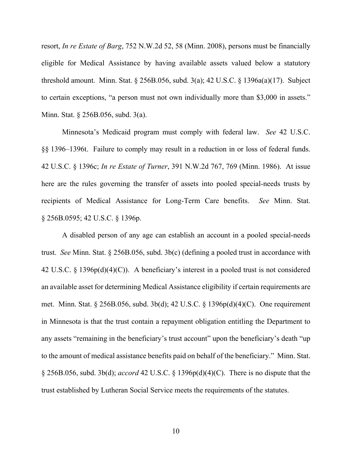resort, *In re Estate of Barg*, 752 N.W.2d 52, 58 (Minn. 2008), persons must be financially eligible for Medical Assistance by having available assets valued below a statutory threshold amount. Minn. Stat. § 256B.056, subd. 3(a); 42 U.S.C. § 1396a(a)(17). Subject to certain exceptions, "a person must not own individually more than \$3,000 in assets." Minn. Stat. § 256B.056, subd. 3(a).

Minnesota's Medicaid program must comply with federal law. *See* 42 U.S.C. §§ 1396–1396t. Failure to comply may result in a reduction in or loss of federal funds. 42 U.S.C. § 1396c; *In re Estate of Turner*, 391 N.W.2d 767, 769 (Minn. 1986). At issue here are the rules governing the transfer of assets into pooled special-needs trusts by recipients of Medical Assistance for Long-Term Care benefits. *See* Minn. Stat. § 256B.0595; 42 U.S.C. § 1396p.

A disabled person of any age can establish an account in a pooled special-needs trust. *See* Minn. Stat. § 256B.056, subd. 3b(c) (defining a pooled trust in accordance with 42 U.S.C. § 1396p(d)(4)(C)). A beneficiary's interest in a pooled trust is not considered an available asset for determining Medical Assistance eligibility if certain requirements are met. Minn. Stat. § 256B.056, subd. 3b(d); 42 U.S.C. § 1396p(d)(4)(C). One requirement in Minnesota is that the trust contain a repayment obligation entitling the Department to any assets "remaining in the beneficiary's trust account" upon the beneficiary's death "up to the amount of medical assistance benefits paid on behalf of the beneficiary." Minn. Stat. § 256B.056, subd. 3b(d); *accord* 42 U.S.C. § 1396p(d)(4)(C). There is no dispute that the trust established by Lutheran Social Service meets the requirements of the statutes.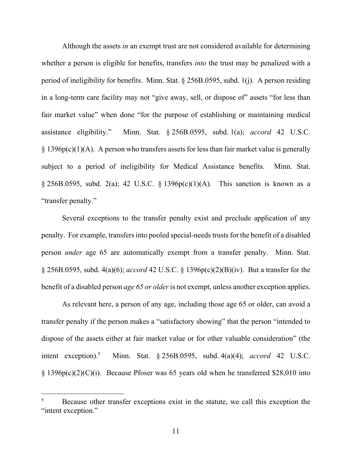Although the assets *in* an exempt trust are not considered available for determining whether a person is eligible for benefits, transfers *into* the trust may be penalized with a period of ineligibility for benefits. Minn. Stat. § 256B.0595, subd. 1(j). A person residing in a long-term care facility may not "give away, sell, or dispose of" assets "for less than fair market value" when done "for the purpose of establishing or maintaining medical assistance eligibility." Minn. Stat. § 256B.0595, subd. 1(a); *accord* 42 U.S.C.  $§$  1396p(c)(1)(A). A person who transfers assets for less than fair market value is generally subject to a period of ineligibility for Medical Assistance benefits. Minn. Stat.  $\S 256B.0595$ , subd. 2(a); 42 U.S.C.  $\S 1396p(c)(1)(A)$ . This sanction is known as a "transfer penalty."

Several exceptions to the transfer penalty exist and preclude application of any penalty. For example, transfers into pooled special-needs trusts for the benefit of a disabled person *under* age 65 are automatically exempt from a transfer penalty. Minn. Stat. § 256B.0595, subd. 4(a)(6); *accord* 42 U.S.C. § 1396p(c)(2)(B)(iv). But a transfer for the benefit of a disabled person *age 65 or older* is not exempt, unless another exception applies.

As relevant here, a person of any age, including those age 65 or older, can avoid a transfer penalty if the person makes a "satisfactory showing" that the person "intended to dispose of the assets either at fair market value or for other valuable consideration" (the intent exception). $5$  Minn. Stat. § 256B.0595, subd. 4(a)(4); *accord* 42 U.S.C. § 1396p(c)(2)(C)(i). Because Pfoser was 65 years old when he transferred \$28,010 into

<sup>5</sup> Because other transfer exceptions exist in the statute, we call this exception the "intent exception."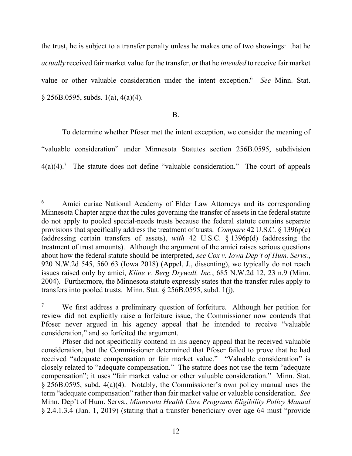the trust, he is subject to a transfer penalty unless he makes one of two showings: that he *actually* received fair market value for the transfer, or that he *intended* to receive fair market value or other valuable consideration under the intent exception.6 *See* Minn. Stat.  $\S$  256B.0595, subds. 1(a), 4(a)(4).

## B.

To determine whether Pfoser met the intent exception, we consider the meaning of "valuable consideration" under Minnesota Statutes section 256B.0595, subdivision  $4(a)(4)$ .<sup>7</sup> The statute does not define "valuable consideration." The court of appeals

<sup>6</sup> Amici curiae National Academy of Elder Law Attorneys and its corresponding Minnesota Chapter argue that the rules governing the transfer of assets in the federal statute do not apply to pooled special-needs trusts because the federal statute contains separate provisions that specifically address the treatment of trusts. *Compare* 42 U.S.C. § 1396p(c) (addressing certain transfers of assets), *with* 42 U.S.C. § 1396p(d) (addressing the treatment of trust amounts). Although the argument of the amici raises serious questions about how the federal statute should be interpreted, *see Cox v. Iowa Dep't of Hum. Servs.*, 920 N.W.2d 545, 560–63 (Iowa 2018) (Appel, J., dissenting), we typically do not reach issues raised only by amici, *Kline v. Berg Drywall, Inc.*, 685 N.W.2d 12, 23 n.9 (Minn. 2004). Furthermore, the Minnesota statute expressly states that the transfer rules apply to transfers into pooled trusts. Minn. Stat. § 256B.0595, subd. 1(j).

<sup>7</sup> We first address a preliminary question of forfeiture. Although her petition for review did not explicitly raise a forfeiture issue, the Commissioner now contends that Pfoser never argued in his agency appeal that he intended to receive "valuable consideration," and so forfeited the argument.

Pfoser did not specifically contend in his agency appeal that he received valuable consideration, but the Commissioner determined that Pfoser failed to prove that he had received "adequate compensation or fair market value." "Valuable consideration" is closely related to "adequate compensation." The statute does not use the term "adequate compensation"; it uses "fair market value or other valuable consideration." Minn. Stat. § 256B.0595, subd. 4(a)(4). Notably, the Commissioner's own policy manual uses the term "adequate compensation" rather than fair market value or valuable consideration. *See* Minn. Dep't of Hum. Servs., *Minnesota Health Care Programs Eligibility Policy Manual* § 2.4.1.3.4 (Jan. 1, 2019) (stating that a transfer beneficiary over age 64 must "provide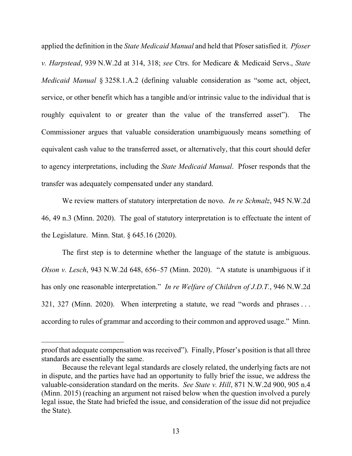applied the definition in the *State Medicaid Manual* and held that Pfoser satisfied it. *Pfoser v. Harpstead*, 939 N.W.2d at 314, 318; *see* Ctrs. for Medicare & Medicaid Servs., *State Medicaid Manual* § 3258.1.A.2 (defining valuable consideration as "some act, object, service, or other benefit which has a tangible and/or intrinsic value to the individual that is roughly equivalent to or greater than the value of the transferred asset"). The Commissioner argues that valuable consideration unambiguously means something of equivalent cash value to the transferred asset, or alternatively, that this court should defer to agency interpretations, including the *State Medicaid Manual*. Pfoser responds that the transfer was adequately compensated under any standard.

We review matters of statutory interpretation de novo. *In re Schmalz*, 945 N.W.2d 46, 49 n.3 (Minn. 2020). The goal of statutory interpretation is to effectuate the intent of the Legislature. Minn. Stat. § 645.16 (2020).

The first step is to determine whether the language of the statute is ambiguous. *Olson v. Lesch*, 943 N.W.2d 648, 656–57 (Minn. 2020). "A statute is unambiguous if it has only one reasonable interpretation." *In re Welfare of Children of J.D.T.*, 946 N.W.2d 321, 327 (Minn. 2020). When interpreting a statute, we read "words and phrases . . . according to rules of grammar and according to their common and approved usage." Minn.

proof that adequate compensation was received"). Finally, Pfoser's position is that all three standards are essentially the same.

Because the relevant legal standards are closely related, the underlying facts are not in dispute, and the parties have had an opportunity to fully brief the issue, we address the valuable-consideration standard on the merits. *See State v. Hill*, 871 N.W.2d 900, 905 n.4 (Minn. 2015) (reaching an argument not raised below when the question involved a purely legal issue, the State had briefed the issue, and consideration of the issue did not prejudice the State).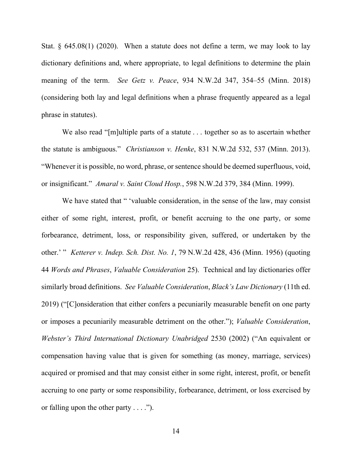Stat. § 645.08(1) (2020). When a statute does not define a term, we may look to lay dictionary definitions and, where appropriate, to legal definitions to determine the plain meaning of the term. *See Getz v. Peace*, 934 N.W.2d 347, 354–55 (Minn. 2018) (considering both lay and legal definitions when a phrase frequently appeared as a legal phrase in statutes).

We also read "[m]ultiple parts of a statute . . . together so as to ascertain whether the statute is ambiguous." *Christianson v. Henke*, 831 N.W.2d 532, 537 (Minn. 2013). "Whenever it is possible, no word, phrase, or sentence should be deemed superfluous, void, or insignificant." *Amaral v. Saint Cloud Hosp.*, 598 N.W.2d 379, 384 (Minn. 1999).

We have stated that " 'valuable consideration, in the sense of the law, may consist either of some right, interest, profit, or benefit accruing to the one party, or some forbearance, detriment, loss, or responsibility given, suffered, or undertaken by the other.' " *Ketterer v. Indep. Sch. Dist. No. 1*, 79 N.W.2d 428, 436 (Minn. 1956) (quoting 44 *Words and Phrases*, *Valuable Consideration* 25). Technical and lay dictionaries offer similarly broad definitions. *See Valuable Consideration*, *Black's Law Dictionary* (11th ed. 2019) ("[C]onsideration that either confers a pecuniarily measurable benefit on one party or imposes a pecuniarily measurable detriment on the other."); *Valuable Consideration*, *Webster's Third International Dictionary Unabridged* 2530 (2002) ("An equivalent or compensation having value that is given for something (as money, marriage, services) acquired or promised and that may consist either in some right, interest, profit, or benefit accruing to one party or some responsibility, forbearance, detriment, or loss exercised by or falling upon the other party  $\dots$ .").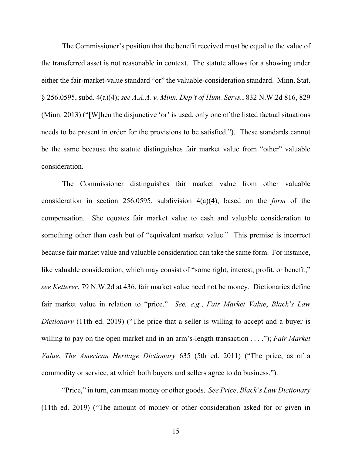The Commissioner's position that the benefit received must be equal to the value of the transferred asset is not reasonable in context. The statute allows for a showing under either the fair-market-value standard "or" the valuable-consideration standard. Minn. Stat. § 256.0595, subd. 4(a)(4); *see A.A.A. v. Minn. Dep't of Hum. Servs.*, 832 N.W.2d 816, 829 (Minn. 2013) ("[W]hen the disjunctive 'or' is used, only one of the listed factual situations needs to be present in order for the provisions to be satisfied."). These standards cannot be the same because the statute distinguishes fair market value from "other" valuable consideration.

The Commissioner distinguishes fair market value from other valuable consideration in section 256.0595, subdivision 4(a)(4), based on the *form* of the compensation. She equates fair market value to cash and valuable consideration to something other than cash but of "equivalent market value." This premise is incorrect because fair market value and valuable consideration can take the same form. For instance, like valuable consideration, which may consist of "some right, interest, profit, or benefit," *see Ketterer*, 79 N.W.2d at 436, fair market value need not be money. Dictionaries define fair market value in relation to "price." *See, e.g.*, *Fair Market Value*, *Black's Law Dictionary* (11th ed. 2019) ("The price that a seller is willing to accept and a buyer is willing to pay on the open market and in an arm's-length transaction . . . ."); *Fair Market Value*, *The American Heritage Dictionary* 635 (5th ed. 2011) ("The price, as of a commodity or service, at which both buyers and sellers agree to do business.").

"Price," in turn, can mean money or other goods. *See Price*, *Black's Law Dictionary* (11th ed. 2019) ("The amount of money or other consideration asked for or given in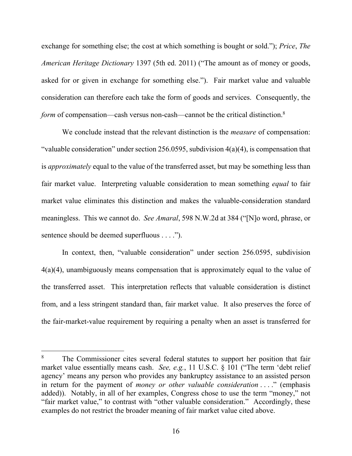exchange for something else; the cost at which something is bought or sold."); *Price*, *The American Heritage Dictionary* 1397 (5th ed. 2011) ("The amount as of money or goods, asked for or given in exchange for something else."). Fair market value and valuable consideration can therefore each take the form of goods and services. Consequently, the *form* of compensation—cash versus non-cash—cannot be the critical distinction.<sup>8</sup>

We conclude instead that the relevant distinction is the *measure* of compensation: "valuable consideration" under section 256.0595, subdivision 4(a)(4), is compensation that is *approximately* equal to the value of the transferred asset, but may be something less than fair market value. Interpreting valuable consideration to mean something *equal* to fair market value eliminates this distinction and makes the valuable-consideration standard meaningless. This we cannot do. *See Amaral*, 598 N.W.2d at 384 ("[N]o word, phrase, or sentence should be deemed superfluous . . . .").

In context, then, "valuable consideration" under section 256.0595, subdivision 4(a)(4), unambiguously means compensation that is approximately equal to the value of the transferred asset. This interpretation reflects that valuable consideration is distinct from, and a less stringent standard than, fair market value. It also preserves the force of the fair-market-value requirement by requiring a penalty when an asset is transferred for

<sup>8</sup> The Commissioner cites several federal statutes to support her position that fair market value essentially means cash. *See, e.g.*, 11 U.S.C. § 101 ("The term 'debt relief agency' means any person who provides any bankruptcy assistance to an assisted person in return for the payment of *money or other valuable consideration* . . . ." (emphasis added)). Notably, in all of her examples, Congress chose to use the term "money," not "fair market value," to contrast with "other valuable consideration." Accordingly, these examples do not restrict the broader meaning of fair market value cited above.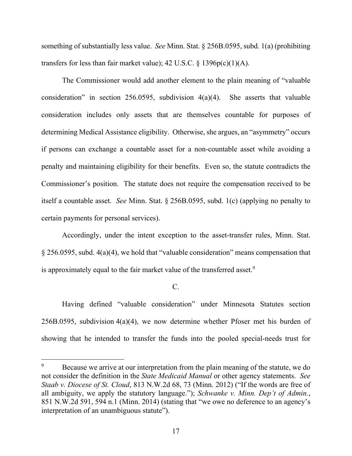something of substantially less value. *See* Minn. Stat. § 256B.0595, subd. 1(a) (prohibiting transfers for less than fair market value);  $42 \text{ U.S.C.} \$   $1396p(c)(1)(A)$ .

The Commissioner would add another element to the plain meaning of "valuable consideration" in section 256.0595, subdivision 4(a)(4). She asserts that valuable consideration includes only assets that are themselves countable for purposes of determining Medical Assistance eligibility. Otherwise, she argues, an "asymmetry" occurs if persons can exchange a countable asset for a non-countable asset while avoiding a penalty and maintaining eligibility for their benefits. Even so, the statute contradicts the Commissioner's position. The statute does not require the compensation received to be itself a countable asset. *See* Minn. Stat. § 256B.0595, subd. 1(c) (applying no penalty to certain payments for personal services).

Accordingly, under the intent exception to the asset-transfer rules, Minn. Stat. § 256.0595, subd. 4(a)(4), we hold that "valuable consideration" means compensation that is approximately equal to the fair market value of the transferred asset.<sup>9</sup>

C.

Having defined "valuable consideration" under Minnesota Statutes section 256B.0595, subdivision 4(a)(4), we now determine whether Pfoser met his burden of showing that he intended to transfer the funds into the pooled special-needs trust for

<sup>9</sup> Because we arrive at our interpretation from the plain meaning of the statute, we do not consider the definition in the *State Medicaid Manual* or other agency statements. *See Staab v. Diocese of St. Cloud*, 813 N.W.2d 68, 73 (Minn. 2012) ("If the words are free of all ambiguity, we apply the statutory language."); *Schwanke v. Minn. Dep't of Admin.*, 851 N.W.2d 591, 594 n.1 (Minn. 2014) (stating that "we owe no deference to an agency's interpretation of an unambiguous statute").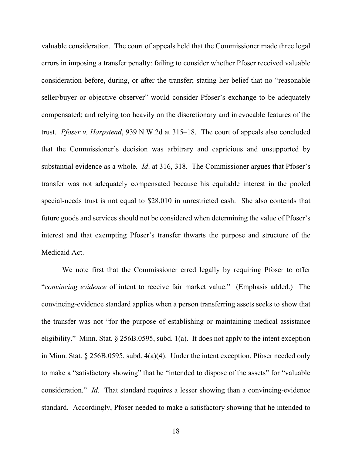valuable consideration. The court of appeals held that the Commissioner made three legal errors in imposing a transfer penalty: failing to consider whether Pfoser received valuable consideration before, during, or after the transfer; stating her belief that no "reasonable seller/buyer or objective observer" would consider Pfoser's exchange to be adequately compensated; and relying too heavily on the discretionary and irrevocable features of the trust. *Pfoser v. Harpstead*, 939 N.W.2d at 315–18. The court of appeals also concluded that the Commissioner's decision was arbitrary and capricious and unsupported by substantial evidence as a whole*. Id*. at 316, 318. The Commissioner argues that Pfoser's transfer was not adequately compensated because his equitable interest in the pooled special-needs trust is not equal to \$28,010 in unrestricted cash. She also contends that future goods and services should not be considered when determining the value of Pfoser's interest and that exempting Pfoser's transfer thwarts the purpose and structure of the Medicaid Act.

We note first that the Commissioner erred legally by requiring Pfoser to offer "*convincing evidence* of intent to receive fair market value." (Emphasis added.) The convincing-evidence standard applies when a person transferring assets seeks to show that the transfer was not "for the purpose of establishing or maintaining medical assistance eligibility." Minn. Stat. § 256B.0595, subd. 1(a). It does not apply to the intent exception in Minn. Stat. § 256B.0595, subd. 4(a)(4). Under the intent exception, Pfoser needed only to make a "satisfactory showing" that he "intended to dispose of the assets" for "valuable consideration." *Id.* That standard requires a lesser showing than a convincing-evidence standard. Accordingly, Pfoser needed to make a satisfactory showing that he intended to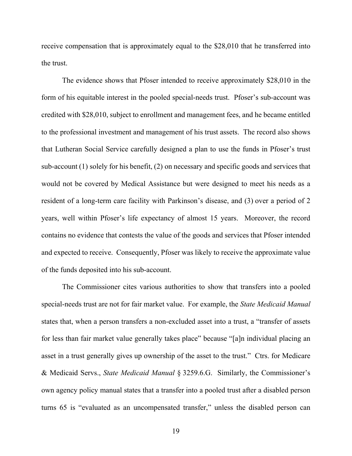receive compensation that is approximately equal to the \$28,010 that he transferred into the trust.

The evidence shows that Pfoser intended to receive approximately \$28,010 in the form of his equitable interest in the pooled special-needs trust. Pfoser's sub-account was credited with \$28,010, subject to enrollment and management fees, and he became entitled to the professional investment and management of his trust assets. The record also shows that Lutheran Social Service carefully designed a plan to use the funds in Pfoser's trust sub-account (1) solely for his benefit, (2) on necessary and specific goods and services that would not be covered by Medical Assistance but were designed to meet his needs as a resident of a long-term care facility with Parkinson's disease, and (3) over a period of 2 years, well within Pfoser's life expectancy of almost 15 years. Moreover, the record contains no evidence that contests the value of the goods and services that Pfoser intended and expected to receive. Consequently, Pfoser was likely to receive the approximate value of the funds deposited into his sub-account.

The Commissioner cites various authorities to show that transfers into a pooled special-needs trust are not for fair market value. For example, the *State Medicaid Manual* states that, when a person transfers a non-excluded asset into a trust, a "transfer of assets for less than fair market value generally takes place" because "[a]n individual placing an asset in a trust generally gives up ownership of the asset to the trust." Ctrs. for Medicare & Medicaid Servs., *State Medicaid Manual* § 3259.6.G. Similarly, the Commissioner's own agency policy manual states that a transfer into a pooled trust after a disabled person turns 65 is "evaluated as an uncompensated transfer," unless the disabled person can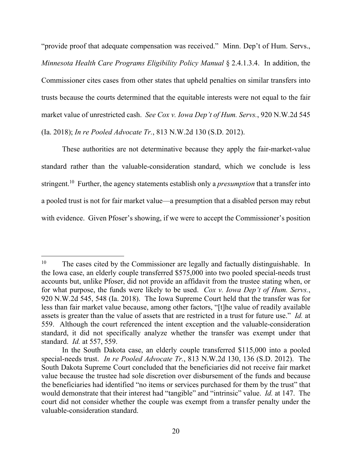"provide proof that adequate compensation was received." Minn. Dep't of Hum. Servs., *Minnesota Health Care Programs Eligibility Policy Manual* § 2.4.1.3.4. In addition, the Commissioner cites cases from other states that upheld penalties on similar transfers into trusts because the courts determined that the equitable interests were not equal to the fair market value of unrestricted cash. *See Cox v. Iowa Dep't of Hum. Servs.*, 920 N.W.2d 545 (Ia. 2018); *In re Pooled Advocate Tr.*, 813 N.W.2d 130 (S.D. 2012).

These authorities are not determinative because they apply the fair-market-value standard rather than the valuable-consideration standard, which we conclude is less stringent.10 Further, the agency statements establish only a *presumption* that a transfer into a pooled trust is not for fair market value—a presumption that a disabled person may rebut with evidence. Given Pfoser's showing, if we were to accept the Commissioner's position

<sup>&</sup>lt;sup>10</sup> The cases cited by the Commissioner are legally and factually distinguishable. In the Iowa case, an elderly couple transferred \$575,000 into two pooled special-needs trust accounts but, unlike Pfoser, did not provide an affidavit from the trustee stating when, or for what purpose, the funds were likely to be used. *Cox v. Iowa Dep't of Hum. Servs.*, 920 N.W.2d 545, 548 (Ia. 2018). The Iowa Supreme Court held that the transfer was for less than fair market value because, among other factors, "[t]he value of readily available assets is greater than the value of assets that are restricted in a trust for future use." *Id.* at 559. Although the court referenced the intent exception and the valuable-consideration standard, it did not specifically analyze whether the transfer was exempt under that standard. *Id.* at 557, 559.

In the South Dakota case, an elderly couple transferred \$115,000 into a pooled special-needs trust. *In re Pooled Advocate Tr.*, 813 N.W.2d 130, 136 (S.D. 2012). The South Dakota Supreme Court concluded that the beneficiaries did not receive fair market value because the trustee had sole discretion over disbursement of the funds and because the beneficiaries had identified "no items or services purchased for them by the trust" that would demonstrate that their interest had "tangible" and "intrinsic" value. *Id.* at 147. The court did not consider whether the couple was exempt from a transfer penalty under the valuable-consideration standard.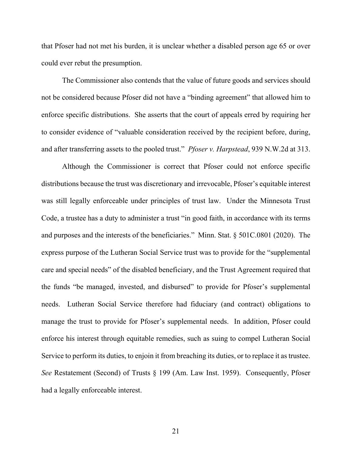that Pfoser had not met his burden, it is unclear whether a disabled person age 65 or over could ever rebut the presumption.

The Commissioner also contends that the value of future goods and services should not be considered because Pfoser did not have a "binding agreement" that allowed him to enforce specific distributions. She asserts that the court of appeals erred by requiring her to consider evidence of "valuable consideration received by the recipient before, during, and after transferring assets to the pooled trust." *Pfoser v. Harpstead*, 939 N.W.2d at 313.

Although the Commissioner is correct that Pfoser could not enforce specific distributions because the trust was discretionary and irrevocable, Pfoser's equitable interest was still legally enforceable under principles of trust law. Under the Minnesota Trust Code, a trustee has a duty to administer a trust "in good faith, in accordance with its terms and purposes and the interests of the beneficiaries." Minn. Stat. § 501C.0801 (2020). The express purpose of the Lutheran Social Service trust was to provide for the "supplemental care and special needs" of the disabled beneficiary, and the Trust Agreement required that the funds "be managed, invested, and disbursed" to provide for Pfoser's supplemental needs. Lutheran Social Service therefore had fiduciary (and contract) obligations to manage the trust to provide for Pfoser's supplemental needs. In addition, Pfoser could enforce his interest through equitable remedies, such as suing to compel Lutheran Social Service to perform its duties, to enjoin it from breaching its duties, or to replace it as trustee. *See* Restatement (Second) of Trusts § 199 (Am. Law Inst. 1959). Consequently, Pfoser had a legally enforceable interest.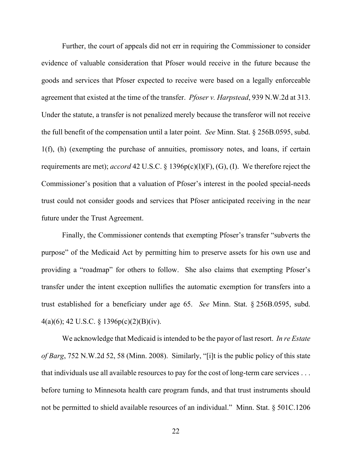Further, the court of appeals did not err in requiring the Commissioner to consider evidence of valuable consideration that Pfoser would receive in the future because the goods and services that Pfoser expected to receive were based on a legally enforceable agreement that existed at the time of the transfer. *Pfoser v. Harpstead*, 939 N.W.2d at 313. Under the statute, a transfer is not penalized merely because the transferor will not receive the full benefit of the compensation until a later point. *See* Minn. Stat. § 256B.0595, subd. 1(f), (h) (exempting the purchase of annuities, promissory notes, and loans, if certain requirements are met); *accord* 42 U.S.C. § 1396p(c)(l)(F), (G), (I). We therefore reject the Commissioner's position that a valuation of Pfoser's interest in the pooled special-needs trust could not consider goods and services that Pfoser anticipated receiving in the near future under the Trust Agreement.

Finally, the Commissioner contends that exempting Pfoser's transfer "subverts the purpose" of the Medicaid Act by permitting him to preserve assets for his own use and providing a "roadmap" for others to follow. She also claims that exempting Pfoser's transfer under the intent exception nullifies the automatic exemption for transfers into a trust established for a beneficiary under age 65. *See* Minn. Stat. § 256B.0595, subd.  $4(a)(6)$ ; 42 U.S.C. § 1396 $p(c)(2)(B)(iv)$ .

We acknowledge that Medicaid is intended to be the payor of last resort. *In re Estate of Barg*, 752 N.W.2d 52, 58 (Minn. 2008). Similarly, "[i]t is the public policy of this state that individuals use all available resources to pay for the cost of long-term care services . . . before turning to Minnesota health care program funds, and that trust instruments should not be permitted to shield available resources of an individual." Minn. Stat. § 501C.1206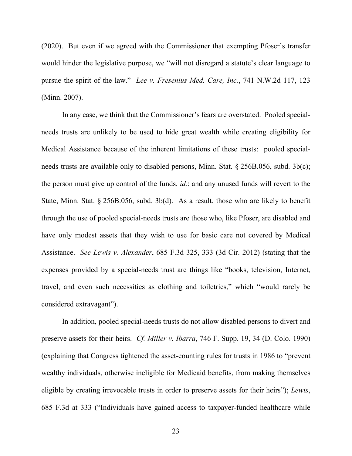(2020). But even if we agreed with the Commissioner that exempting Pfoser's transfer would hinder the legislative purpose, we "will not disregard a statute's clear language to pursue the spirit of the law." *Lee v. Fresenius Med. Care, Inc.*, 741 N.W.2d 117, 123 (Minn. 2007).

In any case, we think that the Commissioner's fears are overstated. Pooled specialneeds trusts are unlikely to be used to hide great wealth while creating eligibility for Medical Assistance because of the inherent limitations of these trusts: pooled specialneeds trusts are available only to disabled persons, Minn. Stat. § 256B.056, subd. 3b(c); the person must give up control of the funds, *id.*; and any unused funds will revert to the State, Minn. Stat. § 256B.056, subd. 3b(d). As a result, those who are likely to benefit through the use of pooled special-needs trusts are those who, like Pfoser, are disabled and have only modest assets that they wish to use for basic care not covered by Medical Assistance. *See Lewis v. Alexander*, 685 F.3d 325, 333 (3d Cir. 2012) (stating that the expenses provided by a special-needs trust are things like "books, television, Internet, travel, and even such necessities as clothing and toiletries," which "would rarely be considered extravagant").

In addition, pooled special-needs trusts do not allow disabled persons to divert and preserve assets for their heirs. *Cf. Miller v. Ibarra*, 746 F. Supp. 19, 34 (D. Colo. 1990) (explaining that Congress tightened the asset-counting rules for trusts in 1986 to "prevent wealthy individuals, otherwise ineligible for Medicaid benefits, from making themselves eligible by creating irrevocable trusts in order to preserve assets for their heirs"); *Lewis*, 685 F.3d at 333 ("Individuals have gained access to taxpayer-funded healthcare while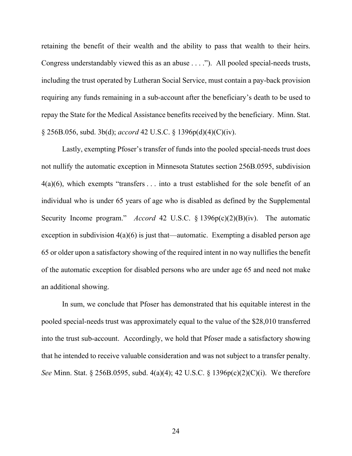retaining the benefit of their wealth and the ability to pass that wealth to their heirs. Congress understandably viewed this as an abuse . . . ."). All pooled special-needs trusts, including the trust operated by Lutheran Social Service, must contain a pay-back provision requiring any funds remaining in a sub-account after the beneficiary's death to be used to repay the State for the Medical Assistance benefits received by the beneficiary. Minn. Stat. § 256B.056, subd. 3b(d); *accord* 42 U.S.C. § 1396p(d)(4)(C)(iv).

Lastly, exempting Pfoser's transfer of funds into the pooled special-needs trust does not nullify the automatic exception in Minnesota Statutes section 256B.0595, subdivision  $4(a)(6)$ , which exempts "transfers ... into a trust established for the sole benefit of an individual who is under 65 years of age who is disabled as defined by the Supplemental Security Income program." *Accord* 42 U.S.C. § 1396p(c)(2)(B)(iv). The automatic exception in subdivision  $4(a)(6)$  is just that—automatic. Exempting a disabled person age 65 or older upon a satisfactory showing of the required intent in no way nullifies the benefit of the automatic exception for disabled persons who are under age 65 and need not make an additional showing.

In sum, we conclude that Pfoser has demonstrated that his equitable interest in the pooled special-needs trust was approximately equal to the value of the \$28,010 transferred into the trust sub-account. Accordingly, we hold that Pfoser made a satisfactory showing that he intended to receive valuable consideration and was not subject to a transfer penalty. *See* Minn. Stat. § 256B.0595, subd. 4(a)(4); 42 U.S.C. § 1396p(c)(2)(C)(i). We therefore